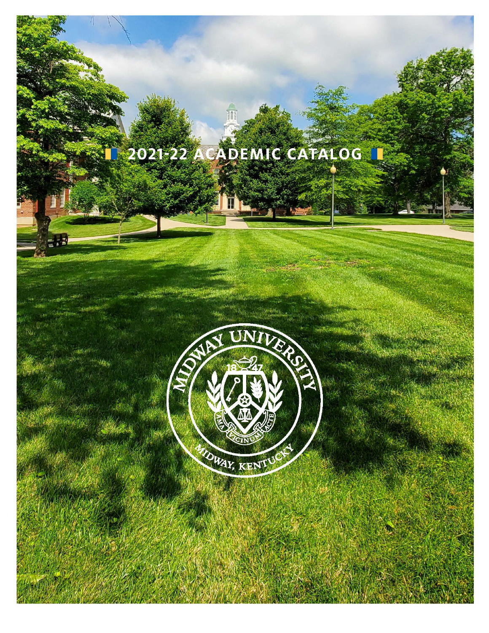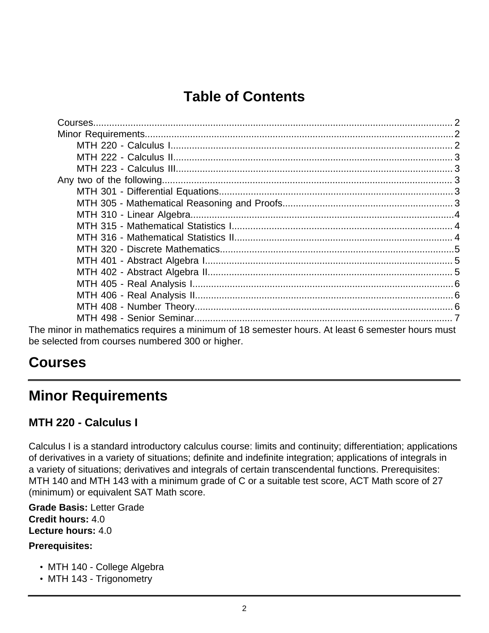# **Table of Contents**

| The minor in mathematics requires a minimum of 18 semester hours. At least 6 semester hours must |  |
|--------------------------------------------------------------------------------------------------|--|
| be selected from courses numbered 300 or higher.                                                 |  |

# <span id="page-1-0"></span>**Courses**

# <span id="page-1-1"></span>**Minor Requirements**

# <span id="page-1-2"></span>**MTH 220 - Calculus I**

Calculus I is a standard introductory calculus course: limits and continuity; differentiation; applications of derivatives in a variety of situations; definite and indefinite integration; applications of integrals in a variety of situations; derivatives and integrals of certain transcendental functions. Prerequisites: MTH 140 and MTH 143 with a minimum grade of C or a suitable test score, ACT Math score of 27 (minimum) or equivalent SAT Math score.

**Grade Basis:** Letter Grade **Credit hours:** 4.0 **Lecture hours:** 4.0

### **Prerequisites:**

- MTH 140 College Algebra
- MTH 143 Trigonometry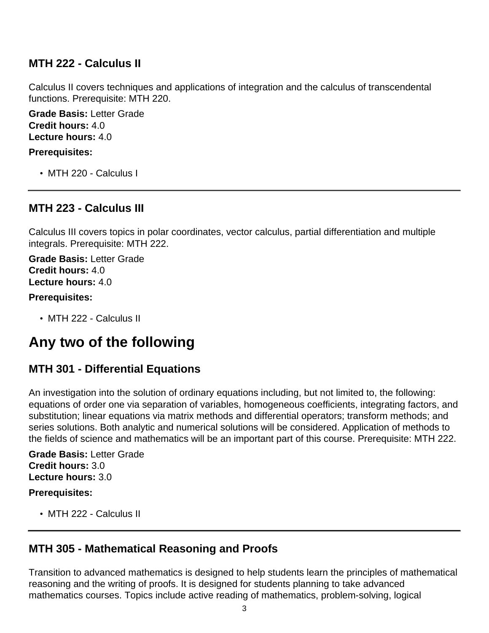## <span id="page-2-0"></span>**MTH 222 - Calculus II**

Calculus II covers techniques and applications of integration and the calculus of transcendental functions. Prerequisite: MTH 220.

**Grade Basis:** Letter Grade **Credit hours:** 4.0 **Lecture hours:** 4.0

#### **Prerequisites:**

• MTH 220 - Calculus I

## <span id="page-2-1"></span>**MTH 223 - Calculus III**

Calculus III covers topics in polar coordinates, vector calculus, partial differentiation and multiple integrals. Prerequisite: MTH 222.

**Grade Basis:** Letter Grade **Credit hours:** 4.0 **Lecture hours:** 4.0

#### **Prerequisites:**

• MTH 222 - Calculus II

# <span id="page-2-2"></span>**Any two of the following**

# <span id="page-2-3"></span>**MTH 301 - Differential Equations**

An investigation into the solution of ordinary equations including, but not limited to, the following: equations of order one via separation of variables, homogeneous coefficients, integrating factors, and substitution; linear equations via matrix methods and differential operators; transform methods; and series solutions. Both analytic and numerical solutions will be considered. Application of methods to the fields of science and mathematics will be an important part of this course. Prerequisite: MTH 222.

**Grade Basis:** Letter Grade **Credit hours:** 3.0 **Lecture hours:** 3.0

#### **Prerequisites:**

• MTH 222 - Calculus II

## <span id="page-2-4"></span>**MTH 305 - Mathematical Reasoning and Proofs**

Transition to advanced mathematics is designed to help students learn the principles of mathematical reasoning and the writing of proofs. It is designed for students planning to take advanced mathematics courses. Topics include active reading of mathematics, problem-solving, logical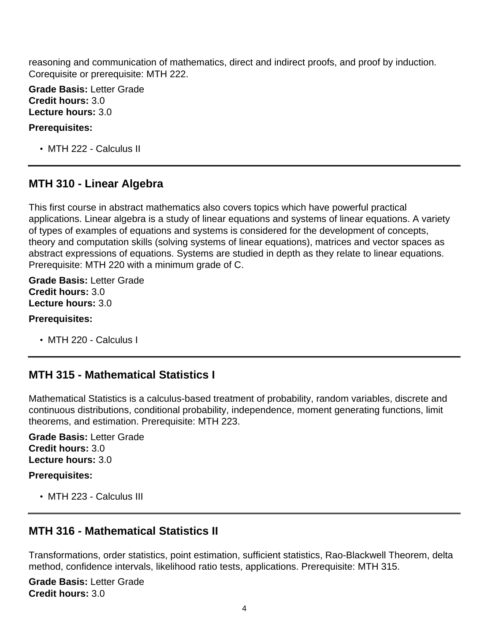reasoning and communication of mathematics, direct and indirect proofs, and proof by induction. Corequisite or prerequisite: MTH 222.

**Grade Basis:** Letter Grade **Credit hours:** 3.0 **Lecture hours:** 3.0

#### **Prerequisites:**

• MTH 222 - Calculus II

## <span id="page-3-0"></span>**MTH 310 - Linear Algebra**

This first course in abstract mathematics also covers topics which have powerful practical applications. Linear algebra is a study of linear equations and systems of linear equations. A variety of types of examples of equations and systems is considered for the development of concepts, theory and computation skills (solving systems of linear equations), matrices and vector spaces as abstract expressions of equations. Systems are studied in depth as they relate to linear equations. Prerequisite: MTH 220 with a minimum grade of C.

**Grade Basis:** Letter Grade **Credit hours:** 3.0 **Lecture hours:** 3.0

#### **Prerequisites:**

• MTH 220 - Calculus I

## <span id="page-3-1"></span>**MTH 315 - Mathematical Statistics I**

Mathematical Statistics is a calculus-based treatment of probability, random variables, discrete and continuous distributions, conditional probability, independence, moment generating functions, limit theorems, and estimation. Prerequisite: MTH 223.

**Grade Basis:** Letter Grade **Credit hours:** 3.0 **Lecture hours:** 3.0

#### **Prerequisites:**

• MTH 223 - Calculus III

# <span id="page-3-2"></span>**MTH 316 - Mathematical Statistics II**

Transformations, order statistics, point estimation, sufficient statistics, Rao-Blackwell Theorem, delta method, confidence intervals, likelihood ratio tests, applications. Prerequisite: MTH 315.

**Grade Basis:** Letter Grade **Credit hours:** 3.0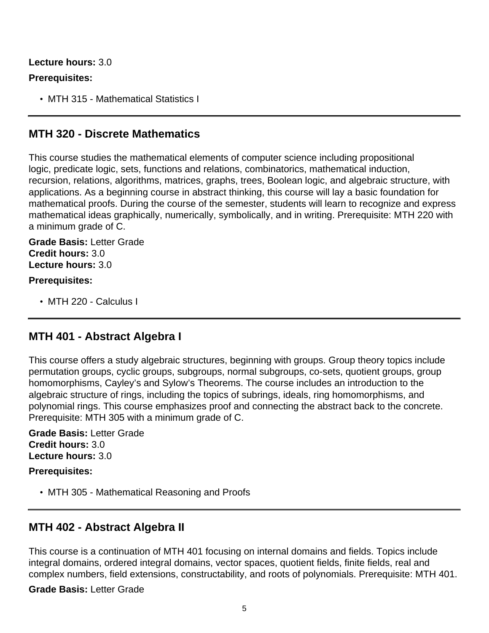## **Lecture hours:** 3.0 **Prerequisites:**

• MTH 315 - Mathematical Statistics I

## <span id="page-4-0"></span>**MTH 320 - Discrete Mathematics**

This course studies the mathematical elements of computer science including propositional logic, predicate logic, sets, functions and relations, combinatorics, mathematical induction, recursion, relations, algorithms, matrices, graphs, trees, Boolean logic, and algebraic structure, with applications. As a beginning course in abstract thinking, this course will lay a basic foundation for mathematical proofs. During the course of the semester, students will learn to recognize and express mathematical ideas graphically, numerically, symbolically, and in writing. Prerequisite: MTH 220 with a minimum grade of C.

## **Grade Basis:** Letter Grade **Credit hours:** 3.0 **Lecture hours:** 3.0

### **Prerequisites:**

• MTH 220 - Calculus I

## <span id="page-4-1"></span>**MTH 401 - Abstract Algebra I**

This course offers a study algebraic structures, beginning with groups. Group theory topics include permutation groups, cyclic groups, subgroups, normal subgroups, co-sets, quotient groups, group homomorphisms, Cayley's and Sylow's Theorems. The course includes an introduction to the algebraic structure of rings, including the topics of subrings, ideals, ring homomorphisms, and polynomial rings. This course emphasizes proof and connecting the abstract back to the concrete. Prerequisite: MTH 305 with a minimum grade of C.

**Grade Basis:** Letter Grade **Credit hours:** 3.0 **Lecture hours:** 3.0

#### **Prerequisites:**

• MTH 305 - Mathematical Reasoning and Proofs

# <span id="page-4-2"></span>**MTH 402 - Abstract Algebra II**

This course is a continuation of MTH 401 focusing on internal domains and fields. Topics include integral domains, ordered integral domains, vector spaces, quotient fields, finite fields, real and complex numbers, field extensions, constructability, and roots of polynomials. Prerequisite: MTH 401.

**Grade Basis:** Letter Grade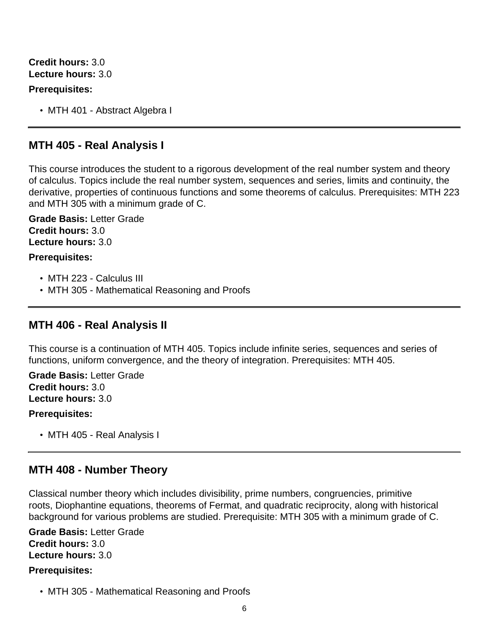**Credit hours:** 3.0 **Lecture hours:** 3.0

#### **Prerequisites:**

• MTH 401 - Abstract Algebra I

## <span id="page-5-0"></span>**MTH 405 - Real Analysis I**

This course introduces the student to a rigorous development of the real number system and theory of calculus. Topics include the real number system, sequences and series, limits and continuity, the derivative, properties of continuous functions and some theorems of calculus. Prerequisites: MTH 223 and MTH 305 with a minimum grade of C.

**Grade Basis:** Letter Grade **Credit hours:** 3.0 **Lecture hours:** 3.0

#### **Prerequisites:**

- MTH 223 Calculus III
- MTH 305 Mathematical Reasoning and Proofs

## <span id="page-5-1"></span>**MTH 406 - Real Analysis II**

This course is a continuation of MTH 405. Topics include infinite series, sequences and series of functions, uniform convergence, and the theory of integration. Prerequisites: MTH 405.

#### **Grade Basis:** Letter Grade **Credit hours:** 3.0 **Lecture hours:** 3.0

#### **Prerequisites:**

• MTH 405 - Real Analysis I

### <span id="page-5-2"></span>**MTH 408 - Number Theory**

Classical number theory which includes divisibility, prime numbers, congruencies, primitive roots, Diophantine equations, theorems of Fermat, and quadratic reciprocity, along with historical background for various problems are studied. Prerequisite: MTH 305 with a minimum grade of C.

**Grade Basis:** Letter Grade **Credit hours:** 3.0 **Lecture hours:** 3.0

#### **Prerequisites:**

• MTH 305 - Mathematical Reasoning and Proofs